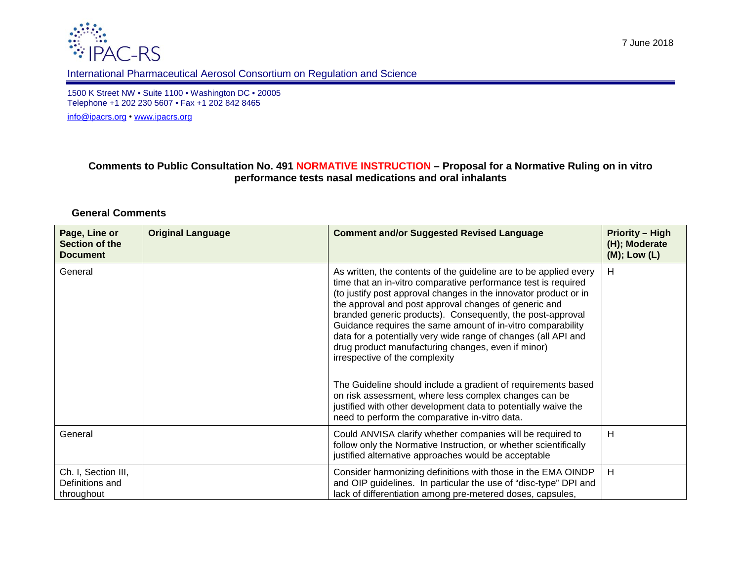



## International Pharmaceutical Aerosol Consortium on Regulation and Science

1500 K Street NW • Suite 1100 • Washington DC • 20005 Telephone +1 202 230 5607 • Fax +1 202 842 8465

[info@ipacrs.org](mailto:info@ipacrs.org) • [www.ipacrs.org](http://www.ipacrs.org/)

## **Comments to Public Consultation No. 491 NORMATIVE INSTRUCTION – Proposal for a Normative Ruling on in vitro performance tests nasal medications and oral inhalants**

## **General Comments**

| Page, Line or<br>Section of the<br><b>Document</b>   | <b>Original Language</b> | <b>Comment and/or Suggested Revised Language</b>                                                                                                                                                                                                                                                                                                                                                                                                                                                                                                                                                                                                                                                                                                                                                      | <b>Priority - High</b><br>(H); Moderate<br>$(M)$ ; Low $(L)$ |
|------------------------------------------------------|--------------------------|-------------------------------------------------------------------------------------------------------------------------------------------------------------------------------------------------------------------------------------------------------------------------------------------------------------------------------------------------------------------------------------------------------------------------------------------------------------------------------------------------------------------------------------------------------------------------------------------------------------------------------------------------------------------------------------------------------------------------------------------------------------------------------------------------------|--------------------------------------------------------------|
| General                                              |                          | As written, the contents of the guideline are to be applied every<br>time that an in-vitro comparative performance test is required<br>(to justify post approval changes in the innovator product or in<br>the approval and post approval changes of generic and<br>branded generic products). Consequently, the post-approval<br>Guidance requires the same amount of in-vitro comparability<br>data for a potentially very wide range of changes (all API and<br>drug product manufacturing changes, even if minor)<br>irrespective of the complexity<br>The Guideline should include a gradient of requirements based<br>on risk assessment, where less complex changes can be<br>justified with other development data to potentially waive the<br>need to perform the comparative in-vitro data. | H                                                            |
| General                                              |                          | Could ANVISA clarify whether companies will be required to<br>follow only the Normative Instruction, or whether scientifically<br>justified alternative approaches would be acceptable                                                                                                                                                                                                                                                                                                                                                                                                                                                                                                                                                                                                                | н                                                            |
| Ch. I, Section III,<br>Definitions and<br>throughout |                          | Consider harmonizing definitions with those in the EMA OINDP<br>and OIP guidelines. In particular the use of "disc-type" DPI and<br>lack of differentiation among pre-metered doses, capsules,                                                                                                                                                                                                                                                                                                                                                                                                                                                                                                                                                                                                        | H                                                            |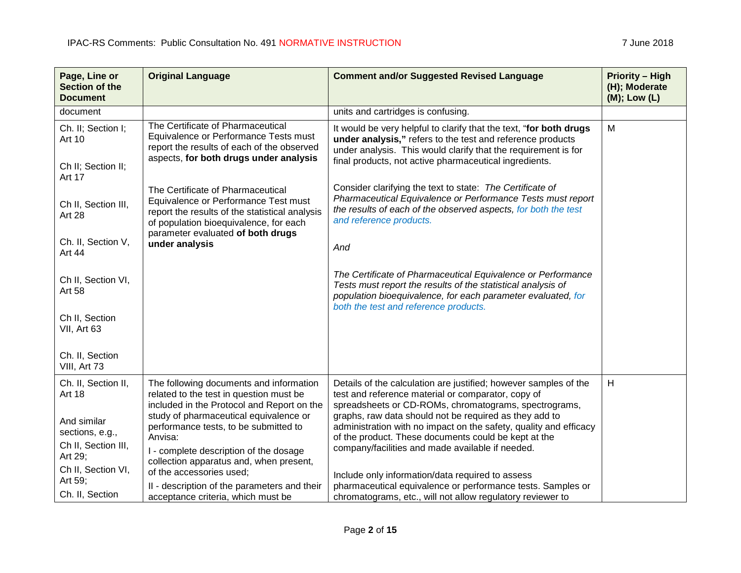| Page, Line or<br>Section of the<br><b>Document</b>                  | <b>Original Language</b>                                                                                                                                                                                   | <b>Comment and/or Suggested Revised Language</b>                                                                                                                                                                                                             | <b>Priority - High</b><br>(H); Moderate<br>(M); Low (L) |
|---------------------------------------------------------------------|------------------------------------------------------------------------------------------------------------------------------------------------------------------------------------------------------------|--------------------------------------------------------------------------------------------------------------------------------------------------------------------------------------------------------------------------------------------------------------|---------------------------------------------------------|
| document                                                            |                                                                                                                                                                                                            | units and cartridges is confusing.                                                                                                                                                                                                                           |                                                         |
| Ch. II; Section I;<br>Art 10<br>Ch II; Section II;<br><b>Art 17</b> | The Certificate of Pharmaceutical<br>Equivalence or Performance Tests must<br>report the results of each of the observed<br>aspects, for both drugs under analysis                                         | It would be very helpful to clarify that the text, "for both drugs<br>under analysis," refers to the test and reference products<br>under analysis. This would clarify that the requirement is for<br>final products, not active pharmaceutical ingredients. | M                                                       |
| Ch II, Section III,<br>Art 28                                       | The Certificate of Pharmaceutical<br>Equivalence or Performance Test must<br>report the results of the statistical analysis<br>of population bioequivalence, for each<br>parameter evaluated of both drugs | Consider clarifying the text to state: The Certificate of<br>Pharmaceutical Equivalence or Performance Tests must report<br>the results of each of the observed aspects, for both the test<br>and reference products.                                        |                                                         |
| Ch. II, Section V,<br>Art 44                                        | under analysis                                                                                                                                                                                             | And                                                                                                                                                                                                                                                          |                                                         |
| Ch II, Section VI,<br>Art 58                                        |                                                                                                                                                                                                            | The Certificate of Pharmaceutical Equivalence or Performance<br>Tests must report the results of the statistical analysis of<br>population bioequivalence, for each parameter evaluated, for<br>both the test and reference products.                        |                                                         |
| Ch II, Section<br>VII, Art 63                                       |                                                                                                                                                                                                            |                                                                                                                                                                                                                                                              |                                                         |
| Ch. II, Section<br>VIII, Art 73                                     |                                                                                                                                                                                                            |                                                                                                                                                                                                                                                              |                                                         |
| Ch. II, Section II,<br><b>Art 18</b>                                | The following documents and information<br>related to the test in question must be<br>included in the Protocol and Report on the                                                                           | Details of the calculation are justified; however samples of the<br>test and reference material or comparator, copy of<br>spreadsheets or CD-ROMs, chromatograms, spectrograms,                                                                              | H                                                       |
| And similar<br>sections, e.g.,<br>Ch II, Section III,<br>Art 29;    | study of pharmaceutical equivalence or<br>performance tests, to be submitted to<br>Anvisa:<br>I - complete description of the dosage<br>collection apparatus and, when present,                            | graphs, raw data should not be required as they add to<br>administration with no impact on the safety, quality and efficacy<br>of the product. These documents could be kept at the<br>company/facilities and made available if needed.                      |                                                         |
| Ch II, Section VI,<br>Art 59;<br>Ch. II, Section                    | of the accessories used;<br>II - description of the parameters and their<br>acceptance criteria, which must be                                                                                             | Include only information/data required to assess<br>pharmaceutical equivalence or performance tests. Samples or<br>chromatograms, etc., will not allow regulatory reviewer to                                                                                |                                                         |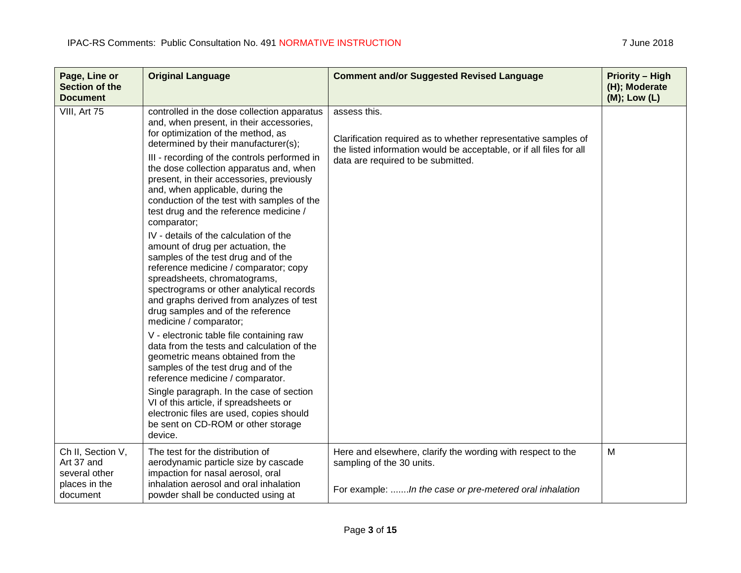| Page, Line or<br>Section of the<br><b>Document</b>                            | <b>Original Language</b>                                                                                                                                                                                                                                                                                                                                                                                                                                                                                                                                                                                                                                                                                                                                                                                                                                                                                                                                                                                                 | <b>Comment and/or Suggested Revised Language</b>                                                                                                                                            | <b>Priority - High</b><br>(H); Moderate<br>$(M)$ ; Low $(L)$ |
|-------------------------------------------------------------------------------|--------------------------------------------------------------------------------------------------------------------------------------------------------------------------------------------------------------------------------------------------------------------------------------------------------------------------------------------------------------------------------------------------------------------------------------------------------------------------------------------------------------------------------------------------------------------------------------------------------------------------------------------------------------------------------------------------------------------------------------------------------------------------------------------------------------------------------------------------------------------------------------------------------------------------------------------------------------------------------------------------------------------------|---------------------------------------------------------------------------------------------------------------------------------------------------------------------------------------------|--------------------------------------------------------------|
| VIII, Art 75                                                                  | controlled in the dose collection apparatus<br>and, when present, in their accessories,<br>for optimization of the method, as<br>determined by their manufacturer(s);<br>III - recording of the controls performed in<br>the dose collection apparatus and, when<br>present, in their accessories, previously<br>and, when applicable, during the<br>conduction of the test with samples of the<br>test drug and the reference medicine /<br>comparator;<br>IV - details of the calculation of the<br>amount of drug per actuation, the<br>samples of the test drug and of the<br>reference medicine / comparator; copy<br>spreadsheets, chromatograms,<br>spectrograms or other analytical records<br>and graphs derived from analyzes of test<br>drug samples and of the reference<br>medicine / comparator;<br>V - electronic table file containing raw<br>data from the tests and calculation of the<br>geometric means obtained from the<br>samples of the test drug and of the<br>reference medicine / comparator. | assess this.<br>Clarification required as to whether representative samples of<br>the listed information would be acceptable, or if all files for all<br>data are required to be submitted. |                                                              |
|                                                                               | Single paragraph. In the case of section<br>VI of this article, if spreadsheets or<br>electronic files are used, copies should<br>be sent on CD-ROM or other storage<br>device.                                                                                                                                                                                                                                                                                                                                                                                                                                                                                                                                                                                                                                                                                                                                                                                                                                          |                                                                                                                                                                                             |                                                              |
| Ch II, Section V,<br>Art 37 and<br>several other<br>places in the<br>document | The test for the distribution of<br>aerodynamic particle size by cascade<br>impaction for nasal aerosol, oral<br>inhalation aerosol and oral inhalation<br>powder shall be conducted using at                                                                                                                                                                                                                                                                                                                                                                                                                                                                                                                                                                                                                                                                                                                                                                                                                            | Here and elsewhere, clarify the wording with respect to the<br>sampling of the 30 units.<br>For example:  In the case or pre-metered oral inhalation                                        | M                                                            |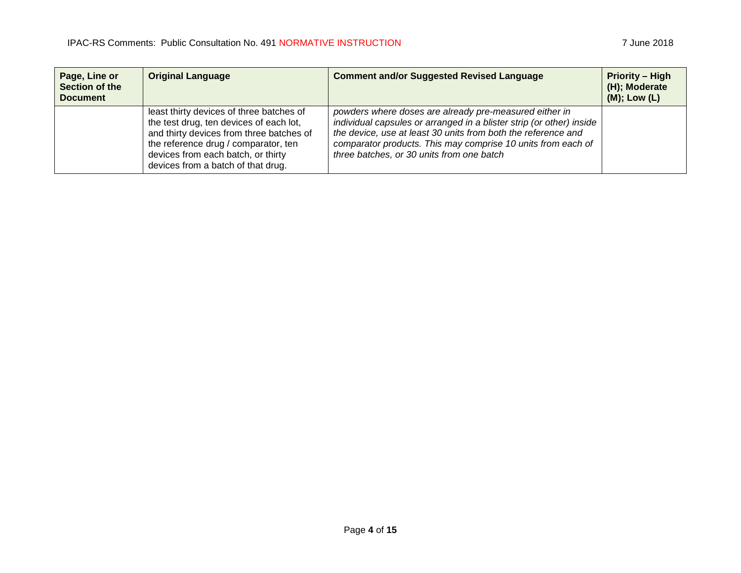| Page, Line or<br>Section of the<br><b>Document</b> | <b>Original Language</b>                                                                                                                                                                                                                            | <b>Comment and/or Suggested Revised Language</b>                                                                                                                                                                                                                                                             | <b>Priority - High</b><br>(H); Moderate<br>$(M)$ ; Low $(L)$ |
|----------------------------------------------------|-----------------------------------------------------------------------------------------------------------------------------------------------------------------------------------------------------------------------------------------------------|--------------------------------------------------------------------------------------------------------------------------------------------------------------------------------------------------------------------------------------------------------------------------------------------------------------|--------------------------------------------------------------|
|                                                    | least thirty devices of three batches of<br>the test drug, ten devices of each lot,<br>and thirty devices from three batches of<br>the reference drug / comparator, ten<br>devices from each batch, or thirty<br>devices from a batch of that drug. | powders where doses are already pre-measured either in<br>individual capsules or arranged in a blister strip (or other) inside<br>the device, use at least 30 units from both the reference and<br>comparator products. This may comprise 10 units from each of<br>three batches, or 30 units from one batch |                                                              |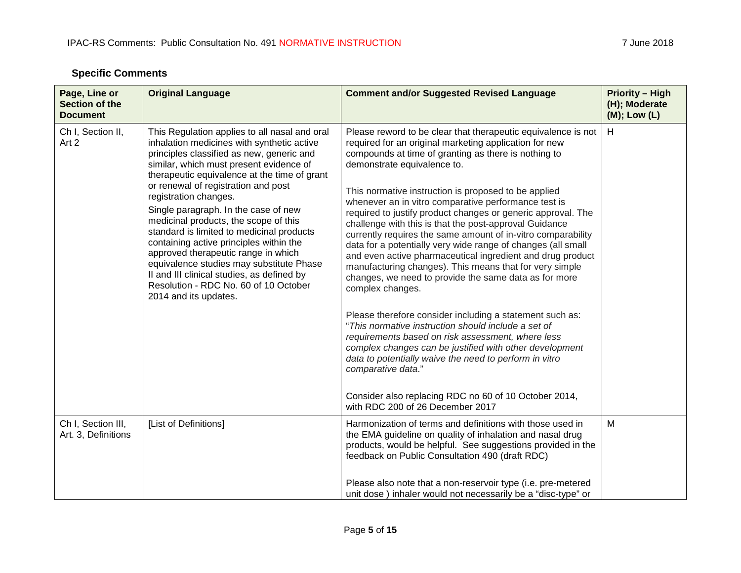| Page, Line or<br>Section of the<br><b>Document</b> | <b>Original Language</b>                                                                                                                                                                                                                                                                                                                                                                                                                                                                                                                                                                                                                                                        | <b>Comment and/or Suggested Revised Language</b>                                                                                                                                                                                                                                                                                                                                                                                                                                                                                                                                                                                                                                                                                                                                                                                                                                                                                                                                                                                                                                                                                                                                                               | <b>Priority - High</b><br>(H); Moderate<br>$(M);$ Low $(L)$ |
|----------------------------------------------------|---------------------------------------------------------------------------------------------------------------------------------------------------------------------------------------------------------------------------------------------------------------------------------------------------------------------------------------------------------------------------------------------------------------------------------------------------------------------------------------------------------------------------------------------------------------------------------------------------------------------------------------------------------------------------------|----------------------------------------------------------------------------------------------------------------------------------------------------------------------------------------------------------------------------------------------------------------------------------------------------------------------------------------------------------------------------------------------------------------------------------------------------------------------------------------------------------------------------------------------------------------------------------------------------------------------------------------------------------------------------------------------------------------------------------------------------------------------------------------------------------------------------------------------------------------------------------------------------------------------------------------------------------------------------------------------------------------------------------------------------------------------------------------------------------------------------------------------------------------------------------------------------------------|-------------------------------------------------------------|
| Ch I, Section II,<br>Art 2                         | This Regulation applies to all nasal and oral<br>inhalation medicines with synthetic active<br>principles classified as new, generic and<br>similar, which must present evidence of<br>therapeutic equivalence at the time of grant<br>or renewal of registration and post<br>registration changes.<br>Single paragraph. In the case of new<br>medicinal products, the scope of this<br>standard is limited to medicinal products<br>containing active principles within the<br>approved therapeutic range in which<br>equivalence studies may substitute Phase<br>II and III clinical studies, as defined by<br>Resolution - RDC No. 60 of 10 October<br>2014 and its updates. | Please reword to be clear that therapeutic equivalence is not<br>required for an original marketing application for new<br>compounds at time of granting as there is nothing to<br>demonstrate equivalence to.<br>This normative instruction is proposed to be applied<br>whenever an in vitro comparative performance test is<br>required to justify product changes or generic approval. The<br>challenge with this is that the post-approval Guidance<br>currently requires the same amount of in-vitro comparability<br>data for a potentially very wide range of changes (all small<br>and even active pharmaceutical ingredient and drug product<br>manufacturing changes). This means that for very simple<br>changes, we need to provide the same data as for more<br>complex changes.<br>Please therefore consider including a statement such as:<br>"This normative instruction should include a set of<br>requirements based on risk assessment, where less<br>complex changes can be justified with other development<br>data to potentially waive the need to perform in vitro<br>comparative data."<br>Consider also replacing RDC no 60 of 10 October 2014,<br>with RDC 200 of 26 December 2017 | H                                                           |
| Ch I, Section III,<br>Art. 3, Definitions          | [List of Definitions]                                                                                                                                                                                                                                                                                                                                                                                                                                                                                                                                                                                                                                                           | Harmonization of terms and definitions with those used in<br>the EMA guideline on quality of inhalation and nasal drug<br>products, would be helpful. See suggestions provided in the<br>feedback on Public Consultation 490 (draft RDC)<br>Please also note that a non-reservoir type (i.e. pre-metered<br>unit dose) inhaler would not necessarily be a "disc-type" or                                                                                                                                                                                                                                                                                                                                                                                                                                                                                                                                                                                                                                                                                                                                                                                                                                       | M                                                           |

## **Specific Comments**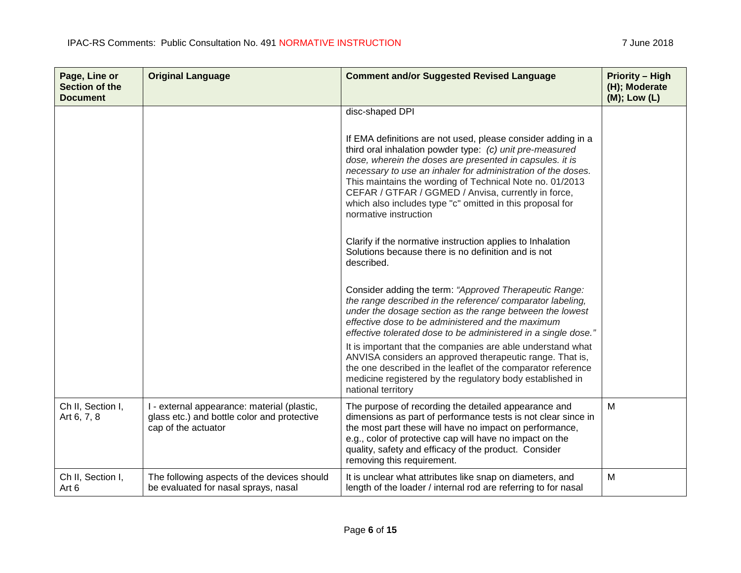be evaluated for nasal sprays, nasal

Art 6

| Page, Line or<br>Section of the<br><b>Document</b> | <b>Original Language</b>                                                                                          | <b>Comment and/or Suggested Revised Language</b>                                                                                                                                                                                                                                                                                                                                                                                                              | <b>Priority - High</b><br>(H); Moderate<br>(M); Low (L) |
|----------------------------------------------------|-------------------------------------------------------------------------------------------------------------------|---------------------------------------------------------------------------------------------------------------------------------------------------------------------------------------------------------------------------------------------------------------------------------------------------------------------------------------------------------------------------------------------------------------------------------------------------------------|---------------------------------------------------------|
|                                                    |                                                                                                                   | disc-shaped DPI                                                                                                                                                                                                                                                                                                                                                                                                                                               |                                                         |
|                                                    |                                                                                                                   | If EMA definitions are not used, please consider adding in a<br>third oral inhalation powder type: (c) unit pre-measured<br>dose, wherein the doses are presented in capsules. it is<br>necessary to use an inhaler for administration of the doses.<br>This maintains the wording of Technical Note no. 01/2013<br>CEFAR / GTFAR / GGMED / Anvisa, currently in force,<br>which also includes type "c" omitted in this proposal for<br>normative instruction |                                                         |
|                                                    |                                                                                                                   | Clarify if the normative instruction applies to Inhalation<br>Solutions because there is no definition and is not<br>described.                                                                                                                                                                                                                                                                                                                               |                                                         |
|                                                    |                                                                                                                   | Consider adding the term: "Approved Therapeutic Range:<br>the range described in the reference/comparator labeling,<br>under the dosage section as the range between the lowest<br>effective dose to be administered and the maximum<br>effective tolerated dose to be administered in a single dose."                                                                                                                                                        |                                                         |
|                                                    |                                                                                                                   | It is important that the companies are able understand what<br>ANVISA considers an approved therapeutic range. That is,<br>the one described in the leaflet of the comparator reference<br>medicine registered by the regulatory body established in<br>national territory                                                                                                                                                                                    |                                                         |
| Ch II, Section I,<br>Art 6, 7, 8                   | I - external appearance: material (plastic,<br>glass etc.) and bottle color and protective<br>cap of the actuator | The purpose of recording the detailed appearance and<br>dimensions as part of performance tests is not clear since in<br>the most part these will have no impact on performance,<br>e.g., color of protective cap will have no impact on the<br>quality, safety and efficacy of the product. Consider<br>removing this requirement.                                                                                                                           | M                                                       |
| Ch II, Section I,                                  | The following aspects of the devices should                                                                       | It is unclear what attributes like snap on diameters, and                                                                                                                                                                                                                                                                                                                                                                                                     | М                                                       |

length of the loader / internal rod are referring to for nasal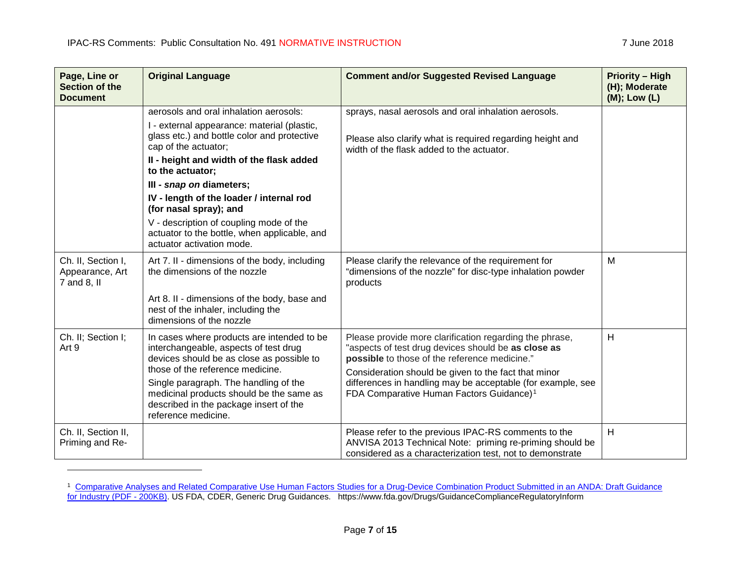$\overline{a}$ 

<span id="page-6-0"></span>

| Page, Line or<br><b>Section of the</b><br><b>Document</b> | <b>Original Language</b>                                                                                                                                                                                                                                                                                                                                                                                                                               | <b>Comment and/or Suggested Revised Language</b>                                                                                                                                                                                                                                                                                               | <b>Priority - High</b><br>(H); Moderate<br>(M); Low (L) |
|-----------------------------------------------------------|--------------------------------------------------------------------------------------------------------------------------------------------------------------------------------------------------------------------------------------------------------------------------------------------------------------------------------------------------------------------------------------------------------------------------------------------------------|------------------------------------------------------------------------------------------------------------------------------------------------------------------------------------------------------------------------------------------------------------------------------------------------------------------------------------------------|---------------------------------------------------------|
|                                                           | aerosols and oral inhalation aerosols:<br>I - external appearance: material (plastic,<br>glass etc.) and bottle color and protective<br>cap of the actuator;<br>II - height and width of the flask added<br>to the actuator;<br>III - snap on diameters;<br>IV - length of the loader / internal rod<br>(for nasal spray); and<br>V - description of coupling mode of the<br>actuator to the bottle, when applicable, and<br>actuator activation mode. | sprays, nasal aerosols and oral inhalation aerosols.<br>Please also clarify what is required regarding height and<br>width of the flask added to the actuator.                                                                                                                                                                                 |                                                         |
| Ch. II, Section I,<br>Appearance, Art<br>7 and 8, II      | Art 7. II - dimensions of the body, including<br>the dimensions of the nozzle<br>Art 8. II - dimensions of the body, base and<br>nest of the inhaler, including the<br>dimensions of the nozzle                                                                                                                                                                                                                                                        | Please clarify the relevance of the requirement for<br>"dimensions of the nozzle" for disc-type inhalation powder<br>products                                                                                                                                                                                                                  | M                                                       |
| Ch. II; Section I;<br>Art 9                               | In cases where products are intended to be<br>interchangeable, aspects of test drug<br>devices should be as close as possible to<br>those of the reference medicine.<br>Single paragraph. The handling of the<br>medicinal products should be the same as<br>described in the package insert of the<br>reference medicine.                                                                                                                             | Please provide more clarification regarding the phrase,<br>"aspects of test drug devices should be as close as<br>possible to those of the reference medicine."<br>Consideration should be given to the fact that minor<br>differences in handling may be acceptable (for example, see<br>FDA Comparative Human Factors Guidance) <sup>1</sup> | H                                                       |
| Ch. II, Section II,<br>Priming and Re-                    |                                                                                                                                                                                                                                                                                                                                                                                                                                                        | Please refer to the previous IPAC-RS comments to the<br>ANVISA 2013 Technical Note: priming re-priming should be<br>considered as a characterization test, not to demonstrate                                                                                                                                                                  | H                                                       |

<sup>&</sup>lt;sup>1</sup> Comparative Analyses and Related Comparative Use Human Factors Studies for a Drug-Device Combination Product Submitted in an ANDA: Draft Guidance [for Industry](https://www.fda.gov/downloads/Drugs/GuidanceComplianceRegulatoryInformation/Guidances/UCM536959.pdf) (PDF - 200KB). US FDA, CDER, Generic Drug Guidances. https://www.fda.gov/Drugs/GuidanceComplianceRegulatoryInform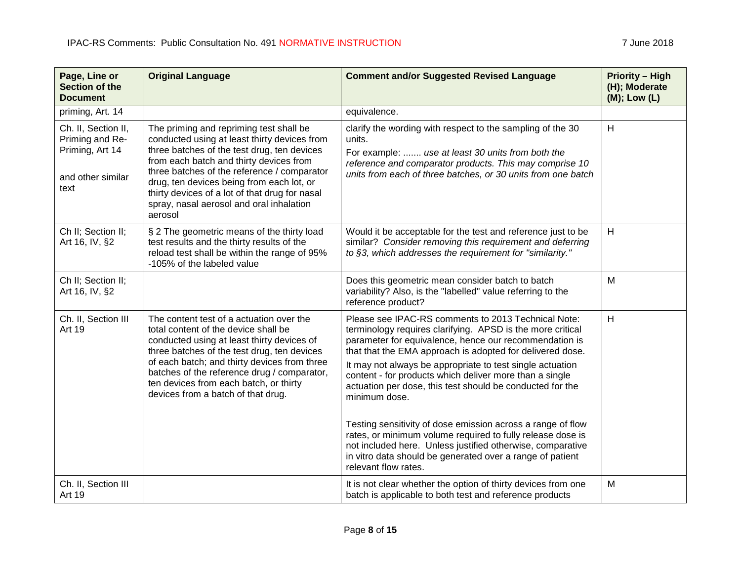| Page, Line or<br><b>Section of the</b><br><b>Document</b>                              | <b>Original Language</b>                                                                                                                                                                                                                                                                                                                                                               | <b>Comment and/or Suggested Revised Language</b>                                                                                                                                                                                                                                                                                                                                                                                                                                                                                                                                                                                                                                                                               | <b>Priority - High</b><br>(H); Moderate<br>$(M);$ Low $(L)$ |
|----------------------------------------------------------------------------------------|----------------------------------------------------------------------------------------------------------------------------------------------------------------------------------------------------------------------------------------------------------------------------------------------------------------------------------------------------------------------------------------|--------------------------------------------------------------------------------------------------------------------------------------------------------------------------------------------------------------------------------------------------------------------------------------------------------------------------------------------------------------------------------------------------------------------------------------------------------------------------------------------------------------------------------------------------------------------------------------------------------------------------------------------------------------------------------------------------------------------------------|-------------------------------------------------------------|
| priming, Art. 14                                                                       |                                                                                                                                                                                                                                                                                                                                                                                        | equivalence.                                                                                                                                                                                                                                                                                                                                                                                                                                                                                                                                                                                                                                                                                                                   |                                                             |
| Ch. II, Section II,<br>Priming and Re-<br>Priming, Art 14<br>and other similar<br>text | The priming and repriming test shall be<br>conducted using at least thirty devices from<br>three batches of the test drug, ten devices<br>from each batch and thirty devices from<br>three batches of the reference / comparator<br>drug, ten devices being from each lot, or<br>thirty devices of a lot of that drug for nasal<br>spray, nasal aerosol and oral inhalation<br>aerosol | clarify the wording with respect to the sampling of the 30<br>units.<br>For example:  use at least 30 units from both the<br>reference and comparator products. This may comprise 10<br>units from each of three batches, or 30 units from one batch                                                                                                                                                                                                                                                                                                                                                                                                                                                                           | H                                                           |
| Ch II; Section II;<br>Art 16, IV, §2                                                   | § 2 The geometric means of the thirty load<br>test results and the thirty results of the<br>reload test shall be within the range of 95%<br>-105% of the labeled value                                                                                                                                                                                                                 | Would it be acceptable for the test and reference just to be<br>similar? Consider removing this requirement and deferring<br>to §3, which addresses the requirement for "similarity."                                                                                                                                                                                                                                                                                                                                                                                                                                                                                                                                          | H                                                           |
| Ch II; Section II;<br>Art 16, IV, §2                                                   |                                                                                                                                                                                                                                                                                                                                                                                        | Does this geometric mean consider batch to batch<br>variability? Also, is the "labelled" value referring to the<br>reference product?                                                                                                                                                                                                                                                                                                                                                                                                                                                                                                                                                                                          | M                                                           |
| Ch. II, Section III<br><b>Art 19</b>                                                   | The content test of a actuation over the<br>total content of the device shall be<br>conducted using at least thirty devices of<br>three batches of the test drug, ten devices<br>of each batch; and thirty devices from three<br>batches of the reference drug / comparator,<br>ten devices from each batch, or thirty<br>devices from a batch of that drug.                           | Please see IPAC-RS comments to 2013 Technical Note:<br>terminology requires clarifying. APSD is the more critical<br>parameter for equivalence, hence our recommendation is<br>that that the EMA approach is adopted for delivered dose.<br>It may not always be appropriate to test single actuation<br>content - for products which deliver more than a single<br>actuation per dose, this test should be conducted for the<br>minimum dose.<br>Testing sensitivity of dose emission across a range of flow<br>rates, or minimum volume required to fully release dose is<br>not included here. Unless justified otherwise, comparative<br>in vitro data should be generated over a range of patient<br>relevant flow rates. | H                                                           |
| Ch. II, Section III<br><b>Art 19</b>                                                   |                                                                                                                                                                                                                                                                                                                                                                                        | It is not clear whether the option of thirty devices from one<br>batch is applicable to both test and reference products                                                                                                                                                                                                                                                                                                                                                                                                                                                                                                                                                                                                       | M                                                           |

<u> 1989 - Johann Stoff, deutscher Stoffen und der Stoffen und der Stoffen und der Stoffen und der Stoffen und der</u>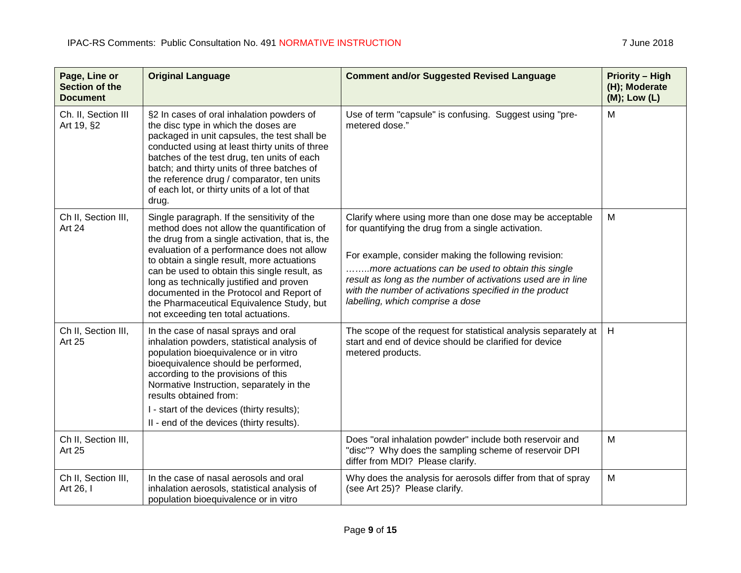| Page, Line or<br><b>Section of the</b><br><b>Document</b> | <b>Original Language</b>                                                                                                                                                                                                                                                                                                                                                                                                                                              | <b>Comment and/or Suggested Revised Language</b>                                                                                                                                                                                                                                                                                                                                           | <b>Priority - High</b><br>(H); Moderate<br>(M); Low (L) |
|-----------------------------------------------------------|-----------------------------------------------------------------------------------------------------------------------------------------------------------------------------------------------------------------------------------------------------------------------------------------------------------------------------------------------------------------------------------------------------------------------------------------------------------------------|--------------------------------------------------------------------------------------------------------------------------------------------------------------------------------------------------------------------------------------------------------------------------------------------------------------------------------------------------------------------------------------------|---------------------------------------------------------|
| Ch. II, Section III<br>Art 19, §2                         | §2 In cases of oral inhalation powders of<br>the disc type in which the doses are<br>packaged in unit capsules, the test shall be<br>conducted using at least thirty units of three<br>batches of the test drug, ten units of each<br>batch; and thirty units of three batches of<br>the reference drug / comparator, ten units<br>of each lot, or thirty units of a lot of that<br>drug.                                                                             | Use of term "capsule" is confusing. Suggest using "pre-<br>metered dose."                                                                                                                                                                                                                                                                                                                  | M                                                       |
| Ch II, Section III,<br><b>Art 24</b>                      | Single paragraph. If the sensitivity of the<br>method does not allow the quantification of<br>the drug from a single activation, that is, the<br>evaluation of a performance does not allow<br>to obtain a single result, more actuations<br>can be used to obtain this single result, as<br>long as technically justified and proven<br>documented in the Protocol and Report of<br>the Pharmaceutical Equivalence Study, but<br>not exceeding ten total actuations. | Clarify where using more than one dose may be acceptable<br>for quantifying the drug from a single activation.<br>For example, consider making the following revision:<br>more actuations can be used to obtain this single<br>result as long as the number of activations used are in line<br>with the number of activations specified in the product<br>labelling, which comprise a dose | M                                                       |
| Ch II, Section III,<br><b>Art 25</b>                      | In the case of nasal sprays and oral<br>inhalation powders, statistical analysis of<br>population bioequivalence or in vitro<br>bioequivalence should be performed,<br>according to the provisions of this<br>Normative Instruction, separately in the<br>results obtained from:<br>I - start of the devices (thirty results);<br>II - end of the devices (thirty results).                                                                                           | The scope of the request for statistical analysis separately at<br>start and end of device should be clarified for device<br>metered products.                                                                                                                                                                                                                                             | H                                                       |
| Ch II, Section III,<br><b>Art 25</b>                      |                                                                                                                                                                                                                                                                                                                                                                                                                                                                       | Does "oral inhalation powder" include both reservoir and<br>"disc"? Why does the sampling scheme of reservoir DPI<br>differ from MDI? Please clarify.                                                                                                                                                                                                                                      | M                                                       |
| Ch II, Section III,<br>Art 26, I                          | In the case of nasal aerosols and oral<br>inhalation aerosols, statistical analysis of<br>population bioequivalence or in vitro                                                                                                                                                                                                                                                                                                                                       | Why does the analysis for aerosols differ from that of spray<br>(see Art 25)? Please clarify.                                                                                                                                                                                                                                                                                              | M                                                       |

<u> 1989 - Johann Stoff, deutscher Stoffen und der Stoffen und der Stoffen und der Stoffen und der Stoffen und der</u>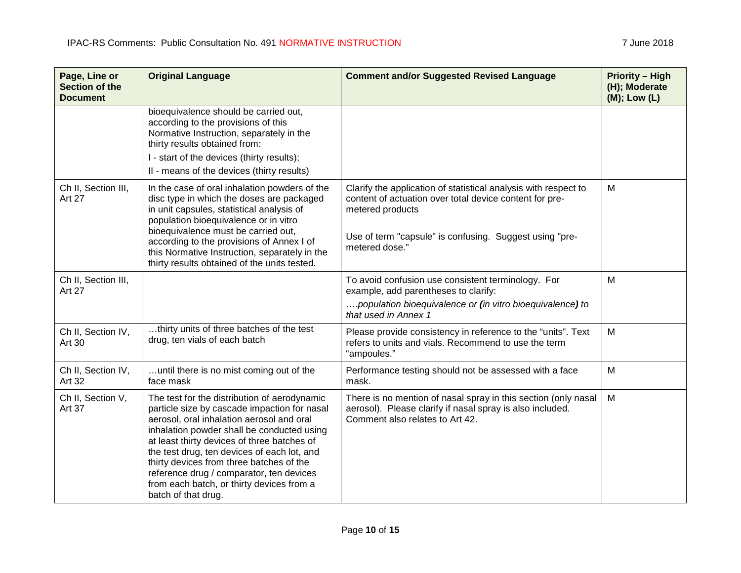**Page, Line or Section of the Document**

| <b>Original Language</b>                                                                                                                                                                                                                                   | <b>Comment and/or Suggested Revised Language</b>                                                                                               | <b>Priority – High</b><br>(H); Moderate<br>$(M)$ ; Low $(L)$ |
|------------------------------------------------------------------------------------------------------------------------------------------------------------------------------------------------------------------------------------------------------------|------------------------------------------------------------------------------------------------------------------------------------------------|--------------------------------------------------------------|
| bioequivalence should be carried out,<br>according to the provisions of this<br>Normative Instruction, separately in the<br>thirty results obtained from:<br>I - start of the devices (thirty results);<br>II - means of the devices (thirty results)      |                                                                                                                                                |                                                              |
| In the case of oral inhalation powders of the<br>disc type in which the doses are packaged<br>in unit capsules, statistical analysis of<br>the contract of the contract of the contract of the contract of the contract of the contract of the contract of | Clarify the application of statistical analysis with respect to<br>content of actuation over total device content for pre-<br>metered products | M                                                            |

|                                      | I - start of the devices (thirty results);<br>II - means of the devices (thirty results)                                                                                                                                                                                                                                                                                                                                                          |                                                                                                                                                                                                                             |   |
|--------------------------------------|---------------------------------------------------------------------------------------------------------------------------------------------------------------------------------------------------------------------------------------------------------------------------------------------------------------------------------------------------------------------------------------------------------------------------------------------------|-----------------------------------------------------------------------------------------------------------------------------------------------------------------------------------------------------------------------------|---|
| Ch II, Section III,<br><b>Art 27</b> | In the case of oral inhalation powders of the<br>disc type in which the doses are packaged<br>in unit capsules, statistical analysis of<br>population bioequivalence or in vitro<br>bioequivalence must be carried out,<br>according to the provisions of Annex I of<br>this Normative Instruction, separately in the<br>thirty results obtained of the units tested.                                                                             | Clarify the application of statistical analysis with respect to<br>content of actuation over total device content for pre-<br>metered products<br>Use of term "capsule" is confusing. Suggest using "pre-<br>metered dose." | M |
| Ch II, Section III,<br><b>Art 27</b> |                                                                                                                                                                                                                                                                                                                                                                                                                                                   | To avoid confusion use consistent terminology. For<br>example, add parentheses to clarify:<br>population bioequivalence or (in vitro bioequivalence) to<br>that used in Annex 1                                             | M |
| Ch II, Section IV,<br>Art 30         | thirty units of three batches of the test<br>drug, ten vials of each batch                                                                                                                                                                                                                                                                                                                                                                        | Please provide consistency in reference to the "units". Text<br>refers to units and vials. Recommend to use the term<br>"ampoules."                                                                                         | M |
| Ch II, Section IV,<br>Art 32         | until there is no mist coming out of the<br>face mask                                                                                                                                                                                                                                                                                                                                                                                             | Performance testing should not be assessed with a face<br>mask.                                                                                                                                                             | M |
| Ch II, Section V,<br><b>Art 37</b>   | The test for the distribution of aerodynamic<br>particle size by cascade impaction for nasal<br>aerosol, oral inhalation aerosol and oral<br>inhalation powder shall be conducted using<br>at least thirty devices of three batches of<br>the test drug, ten devices of each lot, and<br>thirty devices from three batches of the<br>reference drug / comparator, ten devices<br>from each batch, or thirty devices from a<br>batch of that drug. | There is no mention of nasal spray in this section (only nasal<br>aerosol). Please clarify if nasal spray is also included.<br>Comment also relates to Art 42.                                                              | M |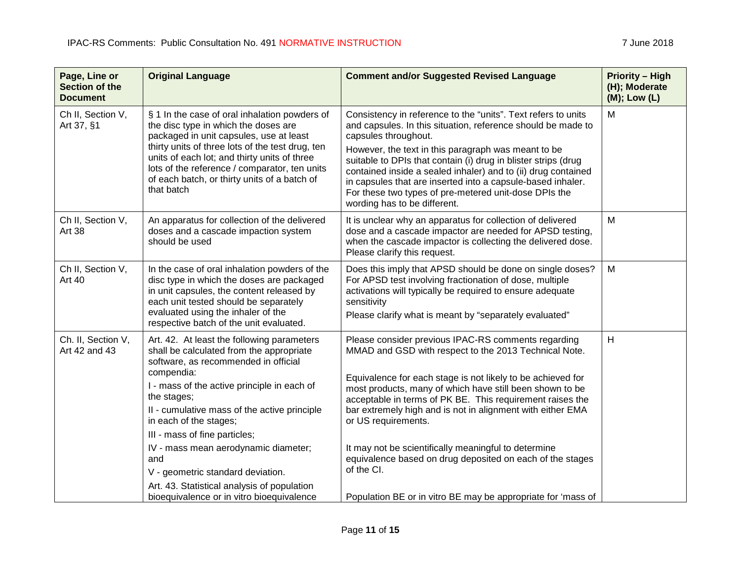| Page, Line or<br><b>Section of the</b><br><b>Document</b> | <b>Original Language</b>                                                                                                                                                                                                                                                                                                                                                                                                                                 | <b>Comment and/or Suggested Revised Language</b>                                                                                                                                                                                                                                                                                                                                                                                                                                                                             | <b>Priority - High</b><br>(H); Moderate<br>(M); Low (L) |
|-----------------------------------------------------------|----------------------------------------------------------------------------------------------------------------------------------------------------------------------------------------------------------------------------------------------------------------------------------------------------------------------------------------------------------------------------------------------------------------------------------------------------------|------------------------------------------------------------------------------------------------------------------------------------------------------------------------------------------------------------------------------------------------------------------------------------------------------------------------------------------------------------------------------------------------------------------------------------------------------------------------------------------------------------------------------|---------------------------------------------------------|
| Ch II, Section V,<br>Art 37, §1                           | § 1 In the case of oral inhalation powders of<br>the disc type in which the doses are<br>packaged in unit capsules, use at least<br>thirty units of three lots of the test drug, ten<br>units of each lot; and thirty units of three<br>lots of the reference / comparator, ten units<br>of each batch, or thirty units of a batch of<br>that batch                                                                                                      | Consistency in reference to the "units". Text refers to units<br>and capsules. In this situation, reference should be made to<br>capsules throughout.<br>However, the text in this paragraph was meant to be<br>suitable to DPIs that contain (i) drug in blister strips (drug<br>contained inside a sealed inhaler) and to (ii) drug contained<br>in capsules that are inserted into a capsule-based inhaler.<br>For these two types of pre-metered unit-dose DPIs the<br>wording has to be different.                      | M                                                       |
| Ch II, Section V,<br>Art 38                               | An apparatus for collection of the delivered<br>doses and a cascade impaction system<br>should be used                                                                                                                                                                                                                                                                                                                                                   | It is unclear why an apparatus for collection of delivered<br>dose and a cascade impactor are needed for APSD testing,<br>when the cascade impactor is collecting the delivered dose.<br>Please clarify this request.                                                                                                                                                                                                                                                                                                        | M                                                       |
| Ch II, Section V,<br><b>Art 40</b>                        | In the case of oral inhalation powders of the<br>disc type in which the doses are packaged<br>in unit capsules, the content released by<br>each unit tested should be separately<br>evaluated using the inhaler of the<br>respective batch of the unit evaluated.                                                                                                                                                                                        | Does this imply that APSD should be done on single doses?<br>For APSD test involving fractionation of dose, multiple<br>activations will typically be required to ensure adequate<br>sensitivity<br>Please clarify what is meant by "separately evaluated"                                                                                                                                                                                                                                                                   | M                                                       |
| Ch. II, Section V,<br>Art 42 and 43                       | Art. 42. At least the following parameters<br>shall be calculated from the appropriate<br>software, as recommended in official<br>compendia:<br>I - mass of the active principle in each of<br>the stages;<br>II - cumulative mass of the active principle<br>in each of the stages;<br>III - mass of fine particles;<br>IV - mass mean aerodynamic diameter;<br>and<br>V - geometric standard deviation.<br>Art. 43. Statistical analysis of population | Please consider previous IPAC-RS comments regarding<br>MMAD and GSD with respect to the 2013 Technical Note.<br>Equivalence for each stage is not likely to be achieved for<br>most products, many of which have still been shown to be<br>acceptable in terms of PK BE. This requirement raises the<br>bar extremely high and is not in alignment with either EMA<br>or US requirements.<br>It may not be scientifically meaningful to determine<br>equivalence based on drug deposited on each of the stages<br>of the CI. | H                                                       |
|                                                           | bioequivalence or in vitro bioequivalence                                                                                                                                                                                                                                                                                                                                                                                                                | Population BE or in vitro BE may be appropriate for 'mass of                                                                                                                                                                                                                                                                                                                                                                                                                                                                 |                                                         |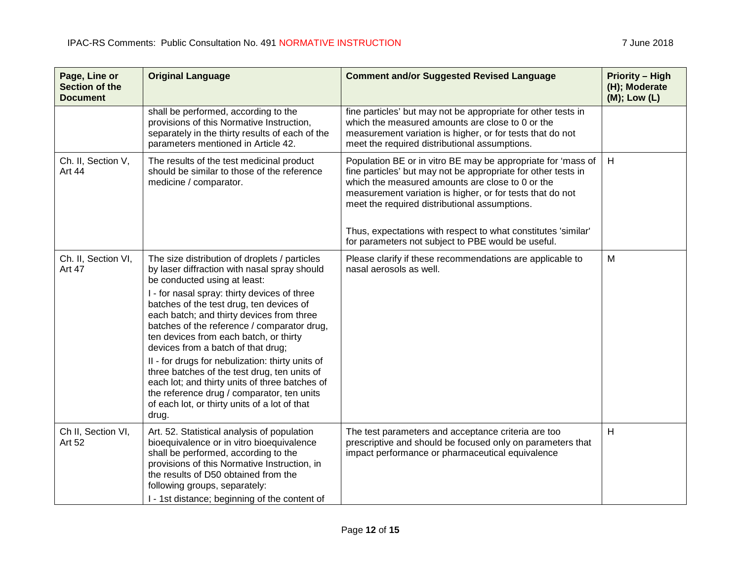| Page, Line or<br><b>Section of the</b><br><b>Document</b> | <b>Original Language</b>                                                                                                                                                                                                                                                                                                                                                                                                                                                                                                                                                                                                                                            | <b>Comment and/or Suggested Revised Language</b>                                                                                                                                                                                                                                                                                                                                                                       | <b>Priority - High</b><br>(H); Moderate<br>(M); Low (L) |
|-----------------------------------------------------------|---------------------------------------------------------------------------------------------------------------------------------------------------------------------------------------------------------------------------------------------------------------------------------------------------------------------------------------------------------------------------------------------------------------------------------------------------------------------------------------------------------------------------------------------------------------------------------------------------------------------------------------------------------------------|------------------------------------------------------------------------------------------------------------------------------------------------------------------------------------------------------------------------------------------------------------------------------------------------------------------------------------------------------------------------------------------------------------------------|---------------------------------------------------------|
|                                                           | shall be performed, according to the<br>provisions of this Normative Instruction,<br>separately in the thirty results of each of the<br>parameters mentioned in Article 42.                                                                                                                                                                                                                                                                                                                                                                                                                                                                                         | fine particles' but may not be appropriate for other tests in<br>which the measured amounts are close to 0 or the<br>measurement variation is higher, or for tests that do not<br>meet the required distributional assumptions.                                                                                                                                                                                        |                                                         |
| Ch. II, Section V,<br>Art 44                              | The results of the test medicinal product<br>should be similar to those of the reference<br>medicine / comparator.                                                                                                                                                                                                                                                                                                                                                                                                                                                                                                                                                  | Population BE or in vitro BE may be appropriate for 'mass of<br>fine particles' but may not be appropriate for other tests in<br>which the measured amounts are close to 0 or the<br>measurement variation is higher, or for tests that do not<br>meet the required distributional assumptions.<br>Thus, expectations with respect to what constitutes 'similar'<br>for parameters not subject to PBE would be useful. | H                                                       |
| Ch. II, Section VI,<br><b>Art 47</b>                      | The size distribution of droplets / particles<br>by laser diffraction with nasal spray should<br>be conducted using at least:<br>I - for nasal spray: thirty devices of three<br>batches of the test drug, ten devices of<br>each batch; and thirty devices from three<br>batches of the reference / comparator drug,<br>ten devices from each batch, or thirty<br>devices from a batch of that drug;<br>II - for drugs for nebulization: thirty units of<br>three batches of the test drug, ten units of<br>each lot; and thirty units of three batches of<br>the reference drug / comparator, ten units<br>of each lot, or thirty units of a lot of that<br>drug. | Please clarify if these recommendations are applicable to<br>nasal aerosols as well.                                                                                                                                                                                                                                                                                                                                   | M                                                       |
| Ch II, Section VI,<br><b>Art 52</b>                       | Art. 52. Statistical analysis of population<br>bioequivalence or in vitro bioequivalence<br>shall be performed, according to the<br>provisions of this Normative Instruction, in<br>the results of D50 obtained from the<br>following groups, separately:<br>I - 1st distance; beginning of the content of                                                                                                                                                                                                                                                                                                                                                          | The test parameters and acceptance criteria are too<br>prescriptive and should be focused only on parameters that<br>impact performance or pharmaceutical equivalence                                                                                                                                                                                                                                                  | H                                                       |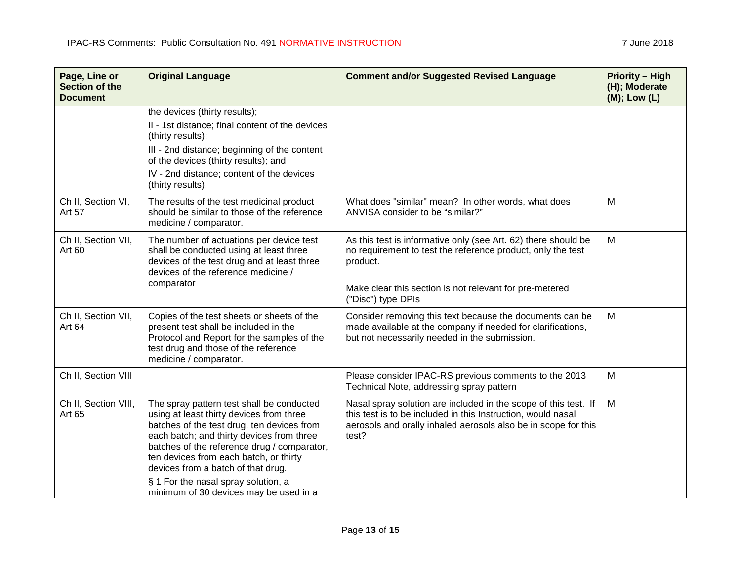| Page, Line or<br>Section of the<br><b>Document</b> | <b>Original Language</b>                                                                                                                                                                                                                                                                                                                                                                         | <b>Comment and/or Suggested Revised Language</b>                                                                                                                                                                           | <b>Priority - High</b><br>(H); Moderate<br>$(M);$ Low $(L)$ |
|----------------------------------------------------|--------------------------------------------------------------------------------------------------------------------------------------------------------------------------------------------------------------------------------------------------------------------------------------------------------------------------------------------------------------------------------------------------|----------------------------------------------------------------------------------------------------------------------------------------------------------------------------------------------------------------------------|-------------------------------------------------------------|
|                                                    | the devices (thirty results);<br>II - 1st distance; final content of the devices<br>(thirty results);<br>III - 2nd distance; beginning of the content<br>of the devices (thirty results); and<br>IV - 2nd distance; content of the devices                                                                                                                                                       |                                                                                                                                                                                                                            |                                                             |
| Ch II, Section VI,<br>Art 57                       | (thirty results).<br>The results of the test medicinal product<br>should be similar to those of the reference<br>medicine / comparator.                                                                                                                                                                                                                                                          | What does "similar" mean? In other words, what does<br>ANVISA consider to be "similar?"                                                                                                                                    | M                                                           |
| Ch II, Section VII,<br>Art 60                      | The number of actuations per device test<br>shall be conducted using at least three<br>devices of the test drug and at least three<br>devices of the reference medicine /<br>comparator                                                                                                                                                                                                          | As this test is informative only (see Art. 62) there should be<br>no requirement to test the reference product, only the test<br>product.<br>Make clear this section is not relevant for pre-metered<br>("Disc") type DPIs | M                                                           |
| Ch II, Section VII,<br>Art 64                      | Copies of the test sheets or sheets of the<br>present test shall be included in the<br>Protocol and Report for the samples of the<br>test drug and those of the reference<br>medicine / comparator.                                                                                                                                                                                              | Consider removing this text because the documents can be<br>made available at the company if needed for clarifications,<br>but not necessarily needed in the submission.                                                   | M                                                           |
| Ch II, Section VIII                                |                                                                                                                                                                                                                                                                                                                                                                                                  | Please consider IPAC-RS previous comments to the 2013<br>Technical Note, addressing spray pattern                                                                                                                          | M                                                           |
| Ch II, Section VIII,<br>Art 65                     | The spray pattern test shall be conducted<br>using at least thirty devices from three<br>batches of the test drug, ten devices from<br>each batch; and thirty devices from three<br>batches of the reference drug / comparator,<br>ten devices from each batch, or thirty<br>devices from a batch of that drug.<br>§ 1 For the nasal spray solution, a<br>minimum of 30 devices may be used in a | Nasal spray solution are included in the scope of this test. If<br>this test is to be included in this Instruction, would nasal<br>aerosols and orally inhaled aerosols also be in scope for this<br>test?                 | M                                                           |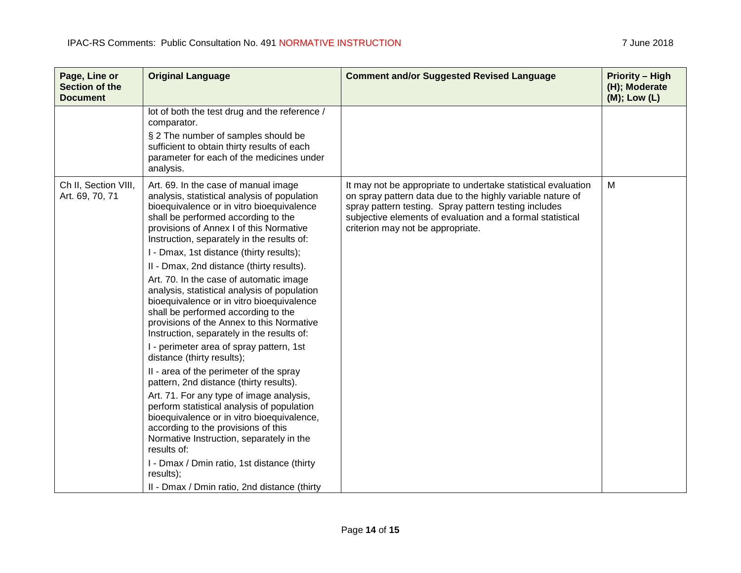| Page, Line or<br><b>Section of the</b><br><b>Document</b> | <b>Original Language</b>                                                                                                                                                                                                                                                                                                                                                                                                                                                                                                                                                                                                                                                                                                                                                                                                                                                                                                                                                                                                                                                                                                | <b>Comment and/or Suggested Revised Language</b>                                                                                                                                                                                                                                        | <b>Priority - High</b><br>(H); Moderate<br>(M); Low (L) |
|-----------------------------------------------------------|-------------------------------------------------------------------------------------------------------------------------------------------------------------------------------------------------------------------------------------------------------------------------------------------------------------------------------------------------------------------------------------------------------------------------------------------------------------------------------------------------------------------------------------------------------------------------------------------------------------------------------------------------------------------------------------------------------------------------------------------------------------------------------------------------------------------------------------------------------------------------------------------------------------------------------------------------------------------------------------------------------------------------------------------------------------------------------------------------------------------------|-----------------------------------------------------------------------------------------------------------------------------------------------------------------------------------------------------------------------------------------------------------------------------------------|---------------------------------------------------------|
|                                                           | lot of both the test drug and the reference /<br>comparator.<br>§ 2 The number of samples should be<br>sufficient to obtain thirty results of each<br>parameter for each of the medicines under                                                                                                                                                                                                                                                                                                                                                                                                                                                                                                                                                                                                                                                                                                                                                                                                                                                                                                                         |                                                                                                                                                                                                                                                                                         |                                                         |
| Ch II, Section VIII,<br>Art. 69, 70, 71                   | analysis.<br>Art. 69. In the case of manual image<br>analysis, statistical analysis of population<br>bioequivalence or in vitro bioequivalence<br>shall be performed according to the<br>provisions of Annex I of this Normative<br>Instruction, separately in the results of:<br>I - Dmax, 1st distance (thirty results);<br>II - Dmax, 2nd distance (thirty results).<br>Art. 70. In the case of automatic image<br>analysis, statistical analysis of population<br>bioequivalence or in vitro bioequivalence<br>shall be performed according to the<br>provisions of the Annex to this Normative<br>Instruction, separately in the results of:<br>I - perimeter area of spray pattern, 1st<br>distance (thirty results);<br>II - area of the perimeter of the spray<br>pattern, 2nd distance (thirty results).<br>Art. 71. For any type of image analysis,<br>perform statistical analysis of population<br>bioequivalence or in vitro bioequivalence,<br>according to the provisions of this<br>Normative Instruction, separately in the<br>results of:<br>I - Dmax / Dmin ratio, 1st distance (thirty<br>results); | It may not be appropriate to undertake statistical evaluation<br>on spray pattern data due to the highly variable nature of<br>spray pattern testing. Spray pattern testing includes<br>subjective elements of evaluation and a formal statistical<br>criterion may not be appropriate. | M                                                       |
|                                                           | II - Dmax / Dmin ratio, 2nd distance (thirty                                                                                                                                                                                                                                                                                                                                                                                                                                                                                                                                                                                                                                                                                                                                                                                                                                                                                                                                                                                                                                                                            |                                                                                                                                                                                                                                                                                         |                                                         |